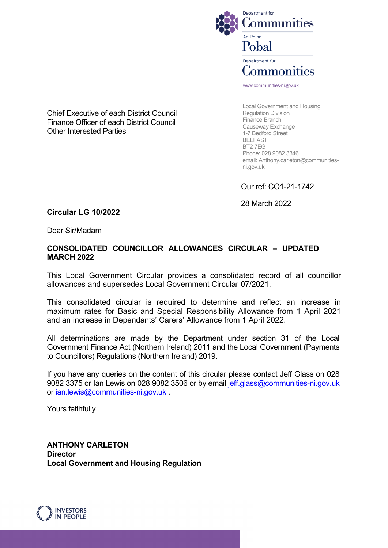

Chief Executive of each District Council Finance Officer of each District Council Other Interested Parties

Causeway Exchange 1-7 Bedford Street BELFAST BT2 7EG Phone: 028 9082 3346 email: Anthony.carleton@communitiesni.gov.uk

Local Government and Housing

Regulation Division Finance Branch

Our ref: CO1-21-1742

28 March 2022

# <span id="page-0-0"></span>**Circular LG 10/2022**

Dear Sir/Madam

#### **CONSOLIDATED COUNCILLOR ALLOWANCES CIRCULAR – UPDATED MARCH 2022**

This Local Government Circular provides a consolidated record of all councillor allowances and supersedes Local Government Circular 07/2021.

This consolidated circular is required to determine and reflect an increase in maximum rates for Basic and Special Responsibility Allowance from 1 April 2021 and an increase in Dependants' Carers' Allowance from 1 April 2022.

All determinations are made by the Department under section 31 of the Local Government Finance Act (Northern Ireland) 2011 and the Local Government (Payments to Councillors) Regulations (Northern Ireland) 2019.

If you have any queries on the content of this circular please contact Jeff Glass on 028 9082 3375 or Ian Lewis on 028 9082 3506 or by email jeff.glass@communities-ni.gov.uk or [ian.lewis@communities-ni.gov.uk](mailto:ian.lewis@communities-ni.gov.uk).

Yours faithfully

**ANTHONY CARLETON Director Local Government and Housing Regulation**

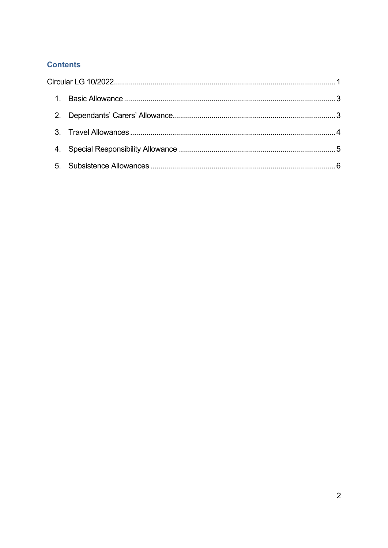# **Contents**

| $1_{-}$        |  |
|----------------|--|
| 2 <sub>1</sub> |  |
|                |  |
|                |  |
|                |  |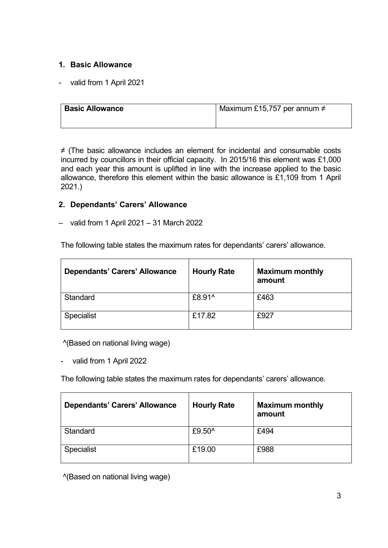# <span id="page-2-0"></span>**1. Basic Allowance**

- valid from 1 April 2021

| <b>Basic Allowance</b> | Maximum £15,757 per annum $\neq$ |  |
|------------------------|----------------------------------|--|
|                        |                                  |  |

≠ (The basic allowance includes an element for incidental and consumable costs incurred by councillors in their official capacity. In 2015/16 this element was £1,000 and each year this amount is uplifted in line with the increase applied to the basic allowance, therefore this element within the basic allowance is £1,109 from 1 April 2021.)

#### <span id="page-2-1"></span>**2. Dependants' Carers' Allowance**

– valid from 1 April 2021 – 31 March 2022

The following table states the maximum rates for dependants' carers' allowance.

| Dependants' Carers' Allowance | <b>Hourly Rate</b> | <b>Maximum monthly</b><br>amount |
|-------------------------------|--------------------|----------------------------------|
| Standard                      | £8.91^             | £463                             |
| <b>Specialist</b>             | £17.82             | £927                             |

^(Based on national living wage)

valid from 1 April 2022

The following table states the maximum rates for dependants' carers' allowance.

| Dependants' Carers' Allowance | <b>Hourly Rate</b> | <b>Maximum monthly</b><br>amount |
|-------------------------------|--------------------|----------------------------------|
| Standard                      | £9.50^             | £494                             |
| <b>Specialist</b>             | £19.00             | £988                             |

^(Based on national living wage)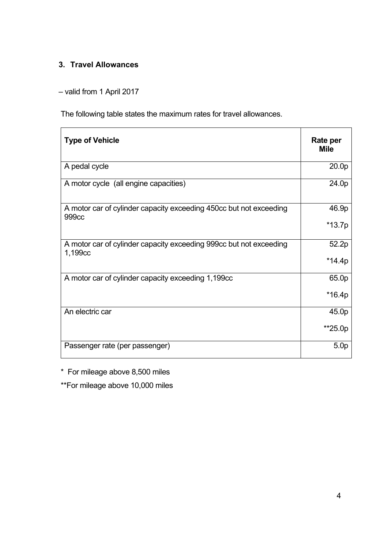# <span id="page-3-0"></span>**3. Travel Allowances**

– valid from 1 April 2017

The following table states the maximum rates for travel allowances.

| <b>Type of Vehicle</b>                                                        | Rate per<br><b>Mile</b> |
|-------------------------------------------------------------------------------|-------------------------|
| A pedal cycle                                                                 | 20.0p                   |
| A motor cycle (all engine capacities)                                         | 24.0p                   |
| A motor car of cylinder capacity exceeding 450cc but not exceeding<br>999cc   | 46.9p                   |
|                                                                               | $*13.7p$                |
| A motor car of cylinder capacity exceeding 999cc but not exceeding<br>1,199cc | 52.2p                   |
|                                                                               | *14.4p                  |
| A motor car of cylinder capacity exceeding 1,199cc                            | 65.0p                   |
|                                                                               | $*16.4p$                |
| An electric car                                                               | 45.0p                   |
|                                                                               | **25.0p                 |
| Passenger rate (per passenger)                                                | 5.0 <sub>p</sub>        |

\* For mileage above 8,500 miles

\*\*For mileage above 10,000 miles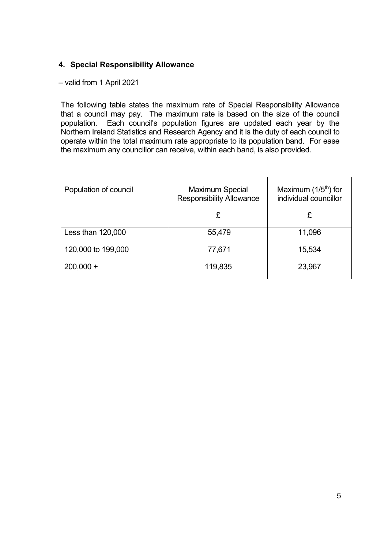### <span id="page-4-0"></span>**4. Special Responsibility Allowance**

– valid from 1 April 2021

The following table states the maximum rate of Special Responsibility Allowance that a council may pay. The maximum rate is based on the size of the council population. Each council's population figures are updated each year by the Northern Ireland Statistics and Research Agency and it is the duty of each council to operate within the total maximum rate appropriate to its population band. For ease the maximum any councillor can receive, within each band, is also provided.

| Population of council | <b>Maximum Special</b><br><b>Responsibility Allowance</b> | Maximum $(1/5th)$ for<br>individual councillor |
|-----------------------|-----------------------------------------------------------|------------------------------------------------|
|                       | £                                                         | £                                              |
| Less than 120,000     | 55,479                                                    | 11,096                                         |
| 120,000 to 199,000    | 77,671                                                    | 15,534                                         |
| $200,000 +$           | 119,835                                                   | 23,967                                         |